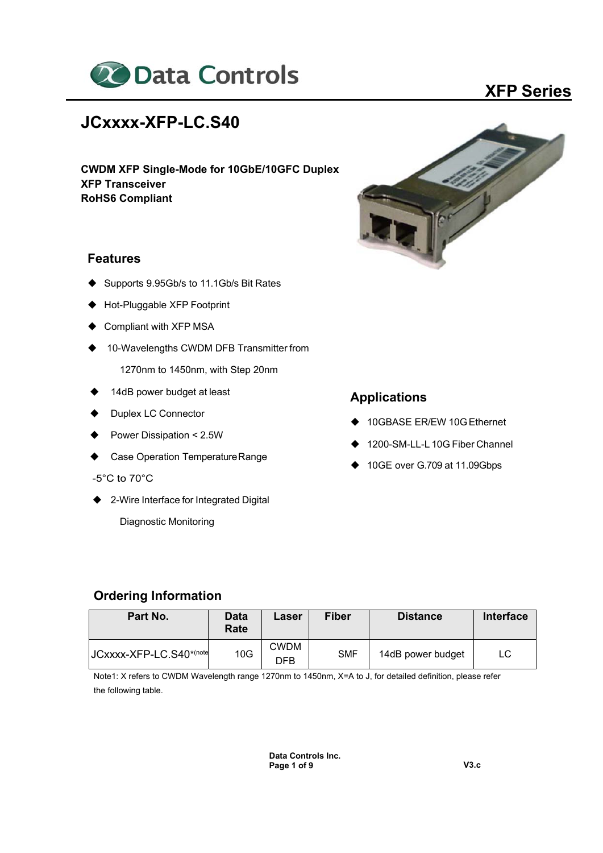

# **JCxxxx-XFP-LC.S40**

**CWDM XFP Single-Mode for 10GbE/10GFC Duplex XFP Transceiver RoHS6 Compliant** 

#### **Features**

- Supports 9.95Gb/s to 11.1Gb/s Bit Rates
- ◆ Hot-Pluggable XFP Footprint
- Compliant with XFP MSA
- ◆ 10-Wavelengths CWDM DFB Transmitter from
	- 1270nm to 1450nm, with Step 20nm
- ◆ 14dB power budget at least
- ◆ Duplex LC Connector
- Power Dissipation < 2.5W
- Case Operation Temperature Range
- -5°C to 70°C
- ◆ 2-Wire Interface for Integrated Digital

Diagnostic Monitoring



### **Applications**

- 10GBASE ER/EW 10G Ethernet
- 1200-SM-LL-L 10G Fiber Channel
- ◆ 10GE over G.709 at 11.09Gbps

#### **Ordering Information**

| Part No.                | Data<br>Rate | Laser              | <b>Fiber</b> | <b>Distance</b>   | <b>Interface</b> |
|-------------------------|--------------|--------------------|--------------|-------------------|------------------|
| JCxxxx-XFP-LC.S40*(note | 10G          | <b>CWDM</b><br>DFB | <b>SMF</b>   | 14dB power budget | LC.              |

Note1: X refers to CWDM Wavelength range 1270nm to 1450nm, X=A to J, for detailed definition, please refer the following table.

> **Data Controls Inc. Page 1 of 9 V3.c**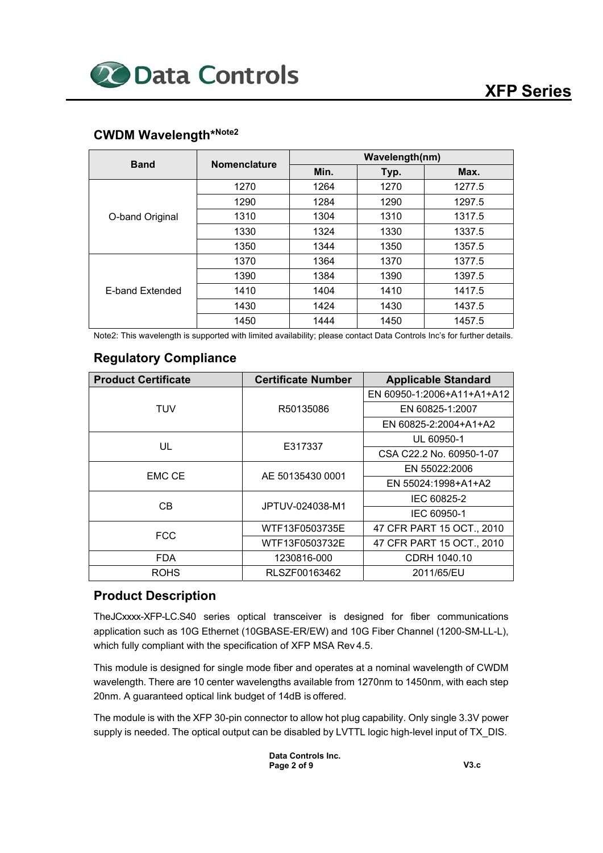## **CWDM Wavelength\*Note2**

| <b>Band</b>            | <b>Nomenclature</b> |      | Wavelength(nm) |        |  |  |  |
|------------------------|---------------------|------|----------------|--------|--|--|--|
|                        |                     | Min. | Typ.           | Max.   |  |  |  |
|                        | 1270                | 1264 | 1270           | 1277.5 |  |  |  |
|                        | 1290                | 1284 | 1290           | 1297.5 |  |  |  |
| O-band Original        | 1310                | 1304 | 1310           | 1317.5 |  |  |  |
|                        | 1330                | 1324 | 1330           | 1337.5 |  |  |  |
|                        | 1350                | 1344 | 1350           | 1357.5 |  |  |  |
|                        | 1370                | 1364 | 1370           | 1377.5 |  |  |  |
| <b>E-band Extended</b> | 1390                | 1384 | 1390           | 1397.5 |  |  |  |
|                        | 1410                | 1404 | 1410           | 1417.5 |  |  |  |
|                        | 1430                | 1424 | 1430           | 1437.5 |  |  |  |
|                        | 1450                | 1444 | 1450           | 1457.5 |  |  |  |

Note2: This wavelength is supported with limited availability; please contact Data Controls Inc's for further details.

#### **Regulatory Compliance**

| <b>Product Certificate</b> | <b>Certificate Number</b> | <b>Applicable Standard</b> |  |
|----------------------------|---------------------------|----------------------------|--|
|                            |                           | EN 60950-1:2006+A11+A1+A12 |  |
| TUV                        | R50135086                 | EN 60825-1:2007            |  |
|                            |                           | EN 60825-2:2004+A1+A2      |  |
| UL                         | E317337                   | UL 60950-1                 |  |
|                            |                           | CSA C22.2 No. 60950-1-07   |  |
| <b>EMC CE</b>              | AE 50135430 0001          | EN 55022:2006              |  |
|                            |                           | EN 55024:1998+A1+A2        |  |
| CB.                        | JPTUV-024038-M1           | IEC 60825-2                |  |
|                            |                           | IEC 60950-1                |  |
| <b>FCC</b>                 | WTF13F0503735E            | 47 CFR PART 15 OCT., 2010  |  |
|                            | WTF13F0503732E            | 47 CFR PART 15 OCT., 2010  |  |
| <b>FDA</b>                 | 1230816-000               | CDRH 1040.10               |  |
| <b>ROHS</b>                | RLSZF00163462             | 2011/65/EU                 |  |

#### **Product Description**

TheJCxxxx-XFP-LC.S40 series optical transceiver is designed for fiber communications application such as 10G Ethernet (10GBASE-ER/EW) and 10G Fiber Channel (1200-SM-LL-L), which fully compliant with the specification of XFP MSA Rev 4.5.

This module is designed for single mode fiber and operates at a nominal wavelength of CWDM wavelength. There are 10 center wavelengths available from 1270nm to 1450nm, with each step 20nm. A guaranteed optical link budget of 14dB is offered.

The module is with the XFP 30-pin connector to allow hot plug capability. Only single 3.3V power supply is needed. The optical output can be disabled by LVTTL logic high-level input of TX DIS.

> **Data Controls Inc. Page 2 of 9 V3.c**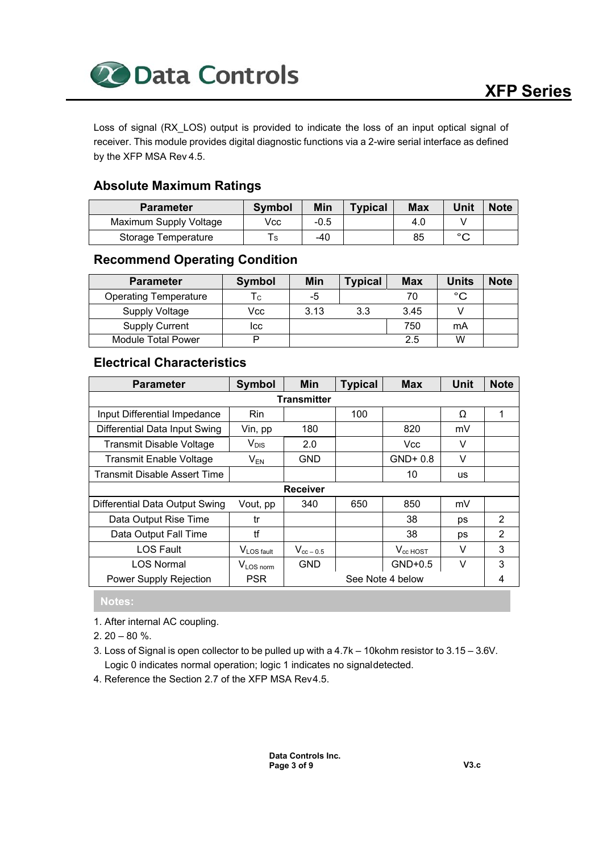

Loss of signal (RX\_LOS) output is provided to indicate the loss of an input optical signal of receiver. This module provides digital diagnostic functions via a 2-wire serial interface as defined by the XFP MSA Rev 4.5.

## **Absolute Maximum Ratings**

| <b>Parameter</b>       | <b>Symbol</b> | Min    | <b>Typical</b> | <b>Max</b> | Unit   | <b>Note</b> |
|------------------------|---------------|--------|----------------|------------|--------|-------------|
| Maximum Supply Voltage | Vcc           | $-0.5$ |                | 4.0        |        |             |
| Storage Temperature    | S             | -40    |                | 85         | $\sim$ |             |

## **Recommend Operating Condition**

| <b>Parameter</b>             | Symbol | Min  | <b>Typical</b> | <b>Max</b> | <b>Units</b> | <b>Note</b> |
|------------------------------|--------|------|----------------|------------|--------------|-------------|
| <b>Operating Temperature</b> | Тc     | -5   |                | 70         | °С           |             |
| <b>Supply Voltage</b>        | Vcc    | 3.13 | 3.3            | 3.45       |              |             |
| <b>Supply Current</b>        | Icc    |      |                | 750        | mA           |             |
| Module Total Power           |        |      |                | 2.5        | w            |             |

## **Electrical Characteristics**

| <b>Parameter</b>                | <b>Symbol</b>          | <b>Min</b>         | <b>Typical</b> | <b>Max</b>       | <b>Unit</b> | <b>Note</b>    |
|---------------------------------|------------------------|--------------------|----------------|------------------|-------------|----------------|
|                                 |                        | <b>Transmitter</b> |                |                  |             |                |
| Input Differential Impedance    | <b>Rin</b>             |                    | 100            |                  | Ω           | 1              |
| Differential Data Input Swing   | Vin, pp                | 180                |                | 820              | mV          |                |
| <b>Transmit Disable Voltage</b> | $V_{DIS}$              | 2.0                |                | Vcc              | V           |                |
| <b>Transmit Enable Voltage</b>  | $V_{EN}$               | GND                |                | $GND + 0.8$      | V           |                |
| Transmit Disable Assert Time    |                        |                    |                | 10               | <b>us</b>   |                |
|                                 |                        | <b>Receiver</b>    |                |                  |             |                |
| Differential Data Output Swing  | Vout, pp               | 340                | 650            | 850              | mV          |                |
| Data Output Rise Time           | tr                     |                    |                | 38               | ps          | $\mathfrak{p}$ |
| Data Output Fall Time           | tf                     |                    |                | 38               | ps          | $\overline{2}$ |
| <b>LOS Fault</b>                | V <sub>LOS fault</sub> | $V_{cc-0.5}$       |                | $V_{cc}$ HOST    | V           | 3              |
| <b>LOS Normal</b>               | $V_{LOS\, norm}$       | <b>GND</b>         |                | $GND+0.5$        | V           | 3              |
| Power Supply Rejection          | <b>PSR</b>             |                    |                | See Note 4 below |             | 4              |

## **Notes:**

- 1. After internal AC coupling.
- $2.20 80 \%$ .
- 3. Loss of Signal is open collector to be pulled up with a 4.7k 10kohm resistor to 3.15 3.6V. Logic 0 indicates normal operation; logic 1 indicates no signal detected.
- 4. Reference the Section 2.7 of the XFP MSA Rev 4.5.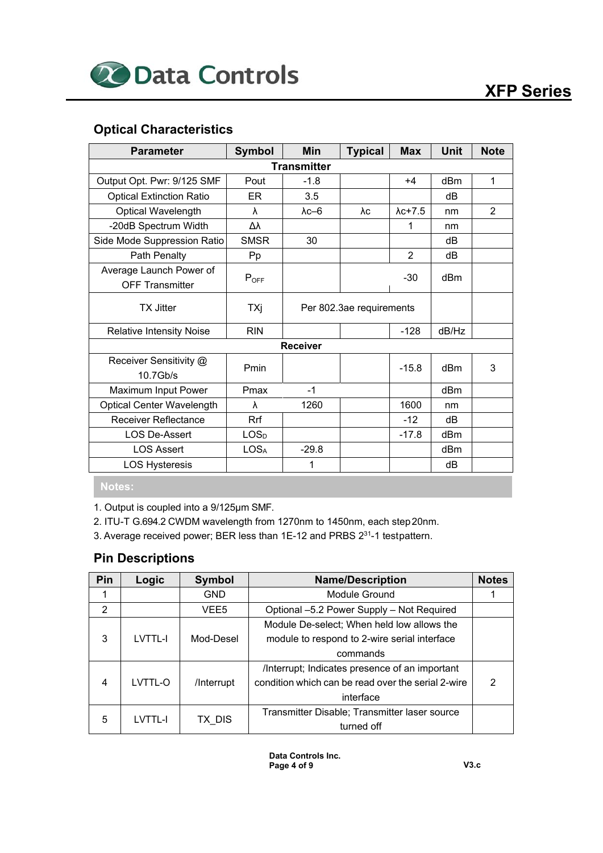## **Optical Characteristics**

| <b>Parameter</b>                                  | <b>Symbol</b>    | <b>Min</b><br><b>Typical</b> |      | <b>Max</b>      | <b>Unit</b>     | <b>Note</b>    |
|---------------------------------------------------|------------------|------------------------------|------|-----------------|-----------------|----------------|
|                                                   |                  | <b>Transmitter</b>           |      |                 |                 |                |
| Output Opt. Pwr: 9/125 SMF                        | Pout             | $-1.8$                       | $+4$ | dBm             | $\mathbf{1}$    |                |
| <b>Optical Extinction Ratio</b>                   | ER.              | 3.5                          |      |                 | dВ              |                |
| <b>Optical Wavelength</b>                         | λ                | $\lambda$ c $-6$             | λc   | $\lambda$ c+7.5 | nm              | $\overline{2}$ |
| -20dB Spectrum Width                              | Δλ               |                              |      | 1               | nm              |                |
| Side Mode Suppression Ratio                       | <b>SMSR</b>      | 30                           |      |                 | dВ              |                |
| Path Penalty                                      | Pp               |                              |      | $\overline{2}$  | dB              |                |
| Average Launch Power of<br><b>OFF Transmitter</b> | $P_{OFF}$        |                              |      |                 | dBm             |                |
| TX Jitter                                         | TXj              | Per 802.3ae requirements     |      |                 |                 |                |
| <b>Relative Intensity Noise</b>                   | <b>RIN</b>       |                              |      |                 |                 |                |
|                                                   |                  | <b>Receiver</b>              |      |                 |                 |                |
| Receiver Sensitivity @<br>$10.7$ Gb/s             | Pmin             |                              |      | $-15.8$         | d <sub>Bm</sub> | 3              |
| Maximum Input Power                               | Pmax             | $-1$                         |      |                 | dBm             |                |
| <b>Optical Center Wavelength</b>                  | λ                | 1260                         |      | 1600            | nm              |                |
| <b>Receiver Reflectance</b>                       | Rrf              |                              |      | $-12$           | dB              |                |
| <b>LOS De-Assert</b>                              | LOS <sub>D</sub> |                              |      | $-17.8$         | dBm             |                |
| <b>LOS Assert</b>                                 | LOS <sub>A</sub> | $-29.8$                      |      |                 | dB <sub>m</sub> |                |
| <b>LOS Hysteresis</b>                             |                  | 1                            |      |                 | dB              |                |

**Notes:**

1. Output is coupled into a 9/125μm SMF.

2. ITU-T G.694.2 CWDM wavelength from 1270nm to 1450nm, each step 20nm.

3. Average received power; BER less than 1E-12 and PRBS 2<sup>31</sup>-1 test pattern.

## **Pin Descriptions**

| Pin | Logic          | <b>Symbol</b>    | <b>Name/Description</b>                            | <b>Notes</b>  |
|-----|----------------|------------------|----------------------------------------------------|---------------|
|     |                | <b>GND</b>       | <b>Module Ground</b>                               |               |
| 2   |                | VEE <sub>5</sub> | Optional -5.2 Power Supply - Not Required          |               |
|     |                |                  | Module De-select; When held low allows the         |               |
| 3   | <b>LVTTL-I</b> | Mod-Desel        | module to respond to 2-wire serial interface       |               |
|     |                |                  | commands                                           |               |
|     |                |                  | /Interrupt; Indicates presence of an important     |               |
| 4   | LVTTL-O        | /Interrupt       | condition which can be read over the serial 2-wire | $\mathcal{P}$ |
|     |                |                  | interface                                          |               |
| 5   | LVTTL-I        | TX DIS           | Transmitter Disable; Transmitter laser source      |               |
|     |                |                  | turned off                                         |               |

**Data Controls Inc. Page 4 of 9 V3.c**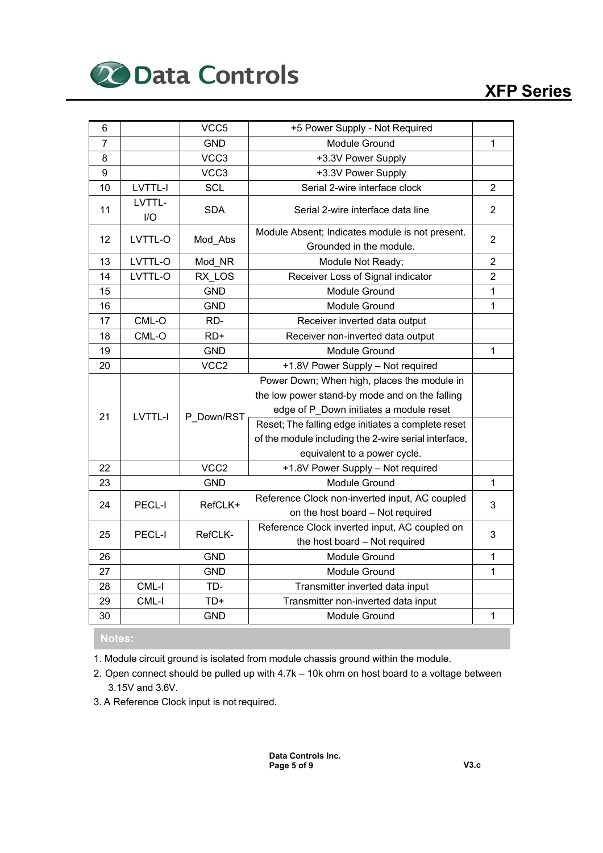

| 6              |                | VCC5             | +5 Power Supply - Not Required                                                                                                             |                                  |
|----------------|----------------|------------------|--------------------------------------------------------------------------------------------------------------------------------------------|----------------------------------|
| $\overline{7}$ |                | <b>GND</b>       | Module Ground                                                                                                                              | 1                                |
| 8              |                | VCC3             | +3.3V Power Supply                                                                                                                         |                                  |
| 9              |                | VCC3             | +3.3V Power Supply                                                                                                                         |                                  |
| 10             | <b>LVTTL-I</b> | <b>SCL</b>       | Serial 2-wire interface clock                                                                                                              | $\overline{2}$                   |
| 11             | LVTTL-<br>I/O  | SDA              | Serial 2-wire interface data line                                                                                                          | 2                                |
| 12             | LVTTL-O        | Mod_Abs          | Module Absent; Indicates module is not present.                                                                                            | $\overline{2}$                   |
|                |                |                  | Grounded in the module.                                                                                                                    |                                  |
| 13             | LVTTL-O        | Mod NR           | Module Not Ready;                                                                                                                          | $\overline{2}$<br>$\overline{2}$ |
| 14             | LVTTL-O        | RX LOS           | Receiver Loss of Signal indicator                                                                                                          |                                  |
| 15             |                | <b>GND</b>       | Module Ground                                                                                                                              | 1                                |
| 16             |                | <b>GND</b>       | Module Ground                                                                                                                              | $\mathbf{1}$                     |
| 17             | CML-O          | RD-              | Receiver inverted data output                                                                                                              |                                  |
| 18             | CML-O          | $RD+$            | Receiver non-inverted data output                                                                                                          |                                  |
| 19             |                | <b>GND</b>       | Module Ground                                                                                                                              | 1                                |
| 20             |                | VCC <sub>2</sub> | +1.8V Power Supply - Not required                                                                                                          |                                  |
| 21             | LVTTL-I        | P Down/RST       | Power Down; When high, places the module in<br>the low power stand-by mode and on the falling<br>edge of P_Down initiates a module reset   |                                  |
|                |                |                  | Reset; The falling edge initiates a complete reset<br>of the module including the 2-wire serial interface,<br>equivalent to a power cycle. |                                  |
| 22             |                | VCC <sub>2</sub> | +1.8V Power Supply - Not required                                                                                                          |                                  |
| 23             |                | <b>GND</b>       | Module Ground                                                                                                                              | $\mathbf{1}$                     |
| 24             | PECL-I         | RefCLK+          | Reference Clock non-inverted input, AC coupled<br>on the host board - Not required                                                         | 3                                |
| 25             | PECL-I         | RefCLK-          | Reference Clock inverted input, AC coupled on<br>the host board - Not required                                                             | 3                                |
| 26             |                | <b>GND</b>       | Module Ground                                                                                                                              | $\mathbf{1}$                     |
| 27             |                | <b>GND</b>       | Module Ground                                                                                                                              | $\mathbf{1}$                     |
| 28             | CML-I          | TD-              | Transmitter inverted data input                                                                                                            |                                  |
| 29             | CML-I          | TD+              | Transmitter non-inverted data input                                                                                                        |                                  |
| 30             |                | <b>GND</b>       | Module Ground                                                                                                                              | $\mathbf 1$                      |

#### **Notes:**

1. Module circuit ground is isolated from module chassis ground within the module.

2. Open connect should be pulled up with 4.7k – 10k ohm on host board to a voltage between 3.15V and 3.6V.

3. A Reference Clock input is not required.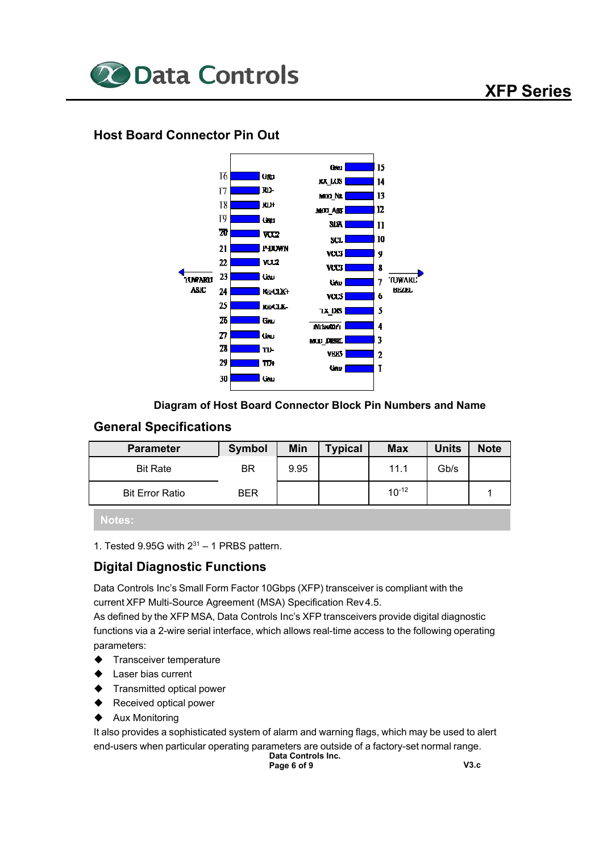

## **Host Board Connector Pin Out**



#### **Diagram of Host Board Connector Block Pin Numbers and Name**

#### **General Specifications**

| <b>Parameter</b>       | Symbol     | Min  | <b>Typical</b> | <b>Max</b> | <b>Units</b> | <b>Note</b> |
|------------------------|------------|------|----------------|------------|--------------|-------------|
| <b>Bit Rate</b>        | BR         | 9.95 |                | 11.1       | Gb/s         |             |
| <b>Bit Error Ratio</b> | <b>BER</b> |      |                | $10^{-12}$ |              |             |

**Notes:**

1. Tested 9.95G with  $2^{31}$  – 1 PRBS pattern.

## **Digital Diagnostic Functions**

Data Controls Inc's Small Form Factor 10Gbps (XFP) transceiver is compliant with the current XFP Multi-Source Agreement (MSA) Specification Rev 4.5.

As defined by the XFP MSA, Data Controls Inc's XFP transceivers provide digital diagnostic functions via a 2-wire serial interface, which allows real-time access to the following operating parameters:

- Transceiver temperature
- Laser bias current
- Transmitted optical power
- Received optical power
- Aux Monitoring

It also provides a sophisticated system of alarm and warning flags, which may be used to alert end-users when particular operating parameters are outside of a factory-set normal range.

**Data Controls Inc. Page 6 of 9 V3.c**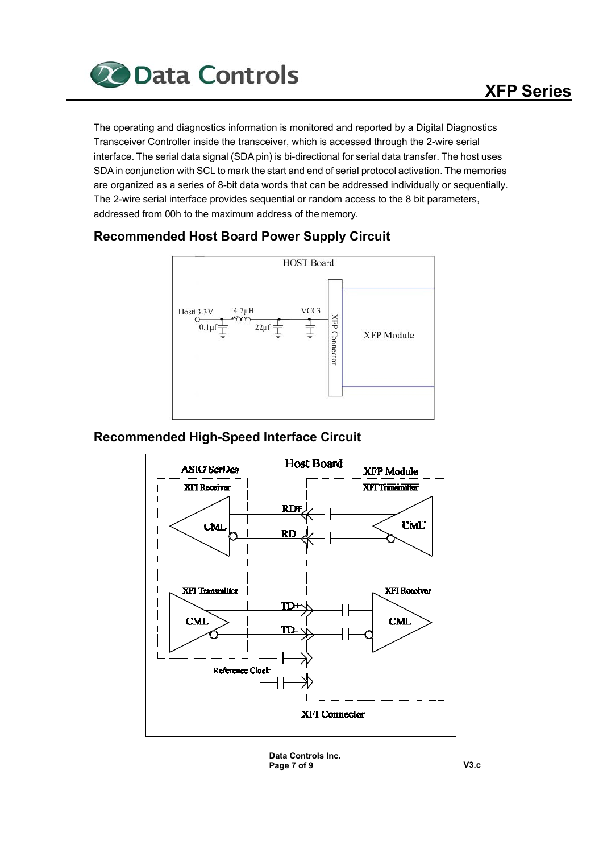

The operating and diagnostics information is monitored and reported by a Digital Diagnostics Transceiver Controller inside the transceiver, which is accessed through the 2-wire serial interface. The serial data signal (SDA pin) is bi-directional for serial data transfer. The host uses SDA in conjunction with SCL to mark the start and end of serial protocol activation. The memories are organized as a series of 8-bit data words that can be addressed individually or sequentially. The 2-wire serial interface provides sequential or random access to the 8 bit parameters, addressed from 00h to the maximum address of the memory.



## **Recommended Host Board Power Supply Circuit**

## **Recommended High-Speed Interface Circuit**



**Data Controls Inc. Page 7 of 9 V3.c**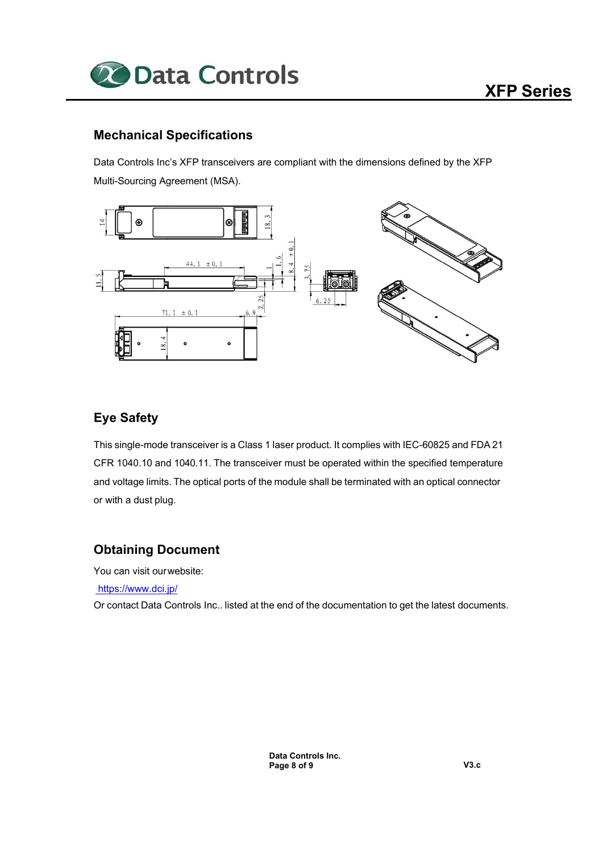

## **Mechanical Specifications**

Data Controls Inc's XFP transceivers are compliant with the dimensions defined by the XFP Multi-Sourcing Agreement (MSA).



## **Eye Safety**

This single-mode transceiver is a Class 1 laser product. It complies with IEC-60825 and FDA 21 CFR 1040.10 and 1040.11. The transceiver must be operated within the specified temperature and voltage limits. The optical ports of the module shall be terminated with an optical connector or with a dust plug.

#### **Obtaining Document**

You can visit our website:

https://www.dci.jp/

Or contact Data Controls Inc.. listed at the end of the documentation to get the latest documents.

**Data Controls Inc. Page 8 of 9 V3.c**